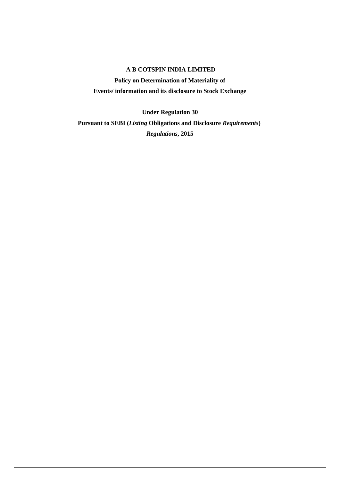# **A B COTSPIN INDIA LIMITED**

**Policy on Determination of Materiality of Events/ information and its disclosure to Stock Exchange**

**Under Regulation 30 Pursuant to SEBI (***Listing* **Obligations and Disclosure** *Requirements***)** *Regulations***, 2015**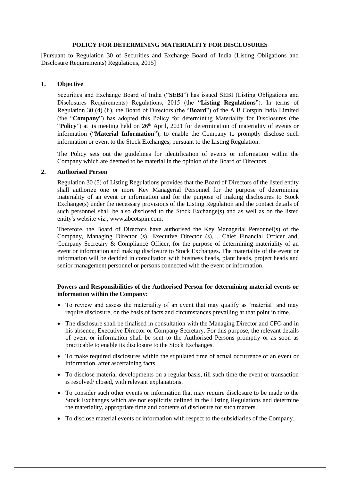### **POLICY FOR DETERMINING MATERIALITY FOR DISCLOSURES**

[Pursuant to Regulation 30 of Securities and Exchange Board of India (Listing Obligations and Disclosure Requirements) Regulations, 2015]

### **1. Objective**

Securities and Exchange Board of India ("**SEBI**") has issued SEBI (Listing Obligations and Disclosures Requirements) Regulations, 2015 (the "**Listing Regulations**"). In terms of Regulation 30 (4) (ii), the Board of Directors (the "**Board**") of the A B Cotspin India Limited (the "**Company**") has adopted this Policy for determining Materiality for Disclosures (the "Policy") at its meeting held on 26<sup>th</sup> April, 2021 for determination of materiality of events or information ("**Material Information**"), to enable the Company to promptly disclose such information or event to the Stock Exchanges, pursuant to the Listing Regulation.

The Policy sets out the guidelines for identification of events or information within the Company which are deemed to be material in the opinion of the Board of Directors.

### **2. Authorised Person**

Regulation 30 (5) of Listing Regulations provides that the Board of Directors of the listed entity shall authorize one or more Key Managerial Personnel for the purpose of determining materiality of an event or information and for the purpose of making disclosures to Stock Exchange(s) under the necessary provisions of the Listing Regulation and the contact details of such personnel shall be also disclosed to the Stock Exchange(s) and as well as on the listed entity's website viz., www.abcotspin.com.

Therefore, the Board of Directors have authorised the Key Managerial Personnel(s) of the Company, Managing Director (s), Executive Director (s), , Chief Financial Officer and, Company Secretary & Compliance Officer, for the purpose of determining materiality of an event or information and making disclosure to Stock Exchanges. The materiality of the event or information will be decided in consultation with business heads, plant heads, project heads and senior management personnel or persons connected with the event or information.

# **Powers and Responsibilities of the Authorised Person for determining material events or information within the Company:**

- To review and assess the materiality of an event that may qualify as 'material' and may require disclosure, on the basis of facts and circumstances prevailing at that point in time.
- The disclosure shall be finalised in consultation with the Managing Director and CFO and in his absence, Executive Director or Company Secretary. For this purpose, the relevant details of event or information shall be sent to the Authorised Persons promptly or as soon as practicable to enable its disclosure to the Stock Exchanges.
- To make required disclosures within the stipulated time of actual occurrence of an event or information, after ascertaining facts.
- To disclose material developments on a regular basis, till such time the event or transaction is resolved/ closed, with relevant explanations.
- To consider such other events or information that may require disclosure to be made to the Stock Exchanges which are not explicitly defined in the Listing Regulations and determine the materiality, appropriate time and contents of disclosure for such matters.
- To disclose material events or information with respect to the subsidiaries of the Company.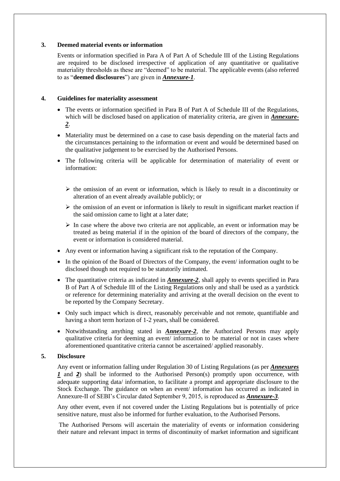### **3. Deemed material events or information**

Events or information specified in Para A of Part A of Schedule III of the Listing Regulations are required to be disclosed irrespective of application of any quantitative or qualitative materiality thresholds as these are "deemed" to be material. The applicable events (also referred to as "**deemed disclosures**") are given in *Annexure-1*.

### **4. Guidelines for materiality assessment**

- The events or information specified in Para B of Part A of Schedule III of the Regulations, which will be disclosed based on application of materiality criteria, are given in *Annexure-2*.
- Materiality must be determined on a case to case basis depending on the material facts and the circumstances pertaining to the information or event and would be determined based on the qualitative judgement to be exercised by the Authorised Persons.
- The following criteria will be applicable for determination of materiality of event or information:
	- $\triangleright$  the omission of an event or information, which is likely to result in a discontinuity or alteration of an event already available publicly; or
	- $\triangleright$  the omission of an event or information is likely to result in significant market reaction if the said omission came to light at a later date;
	- $\triangleright$  In case where the above two criteria are not applicable, an event or information may be treated as being material if in the opinion of the board of directors of the company, the event or information is considered material.
- Any event or information having a significant risk to the reputation of the Company.
- In the opinion of the Board of Directors of the Company, the event/ information ought to be disclosed though not required to be statutorily intimated.
- The quantitative criteria as indicated in *Annexure-2*, shall apply to events specified in Para B of Part A of Schedule III of the Listing Regulations only and shall be used as a yardstick or reference for determining materiality and arriving at the overall decision on the event to be reported by the Company Secretary.
- Only such impact which is direct, reasonably perceivable and not remote, quantifiable and having a short term horizon of 1-2 years, shall be considered.
- Notwithstanding anything stated in *Annexure-2*, the Authorized Persons may apply qualitative criteria for deeming an event/ information to be material or not in cases where aforementioned quantitative criteria cannot be ascertained/ applied reasonably.

## **5. Disclosure**

Any event or information falling under Regulation 30 of Listing Regulations (as per *Annexures 1* and 2) shall be informed to the Authorised Person(s) promptly upon occurrence, with adequate supporting data/ information, to facilitate a prompt and appropriate disclosure to the Stock Exchange. The guidance on when an event/ information has occurred as indicated in Annexure-II of SEBI's Circular dated September 9, 2015, is reproduced as *Annexure-3*.

Any other event, even if not covered under the Listing Regulations but is potentially of price sensitive nature, must also be informed for further evaluation, to the Authorised Persons.

The Authorised Persons will ascertain the materiality of events or information considering their nature and relevant impact in terms of discontinuity of market information and significant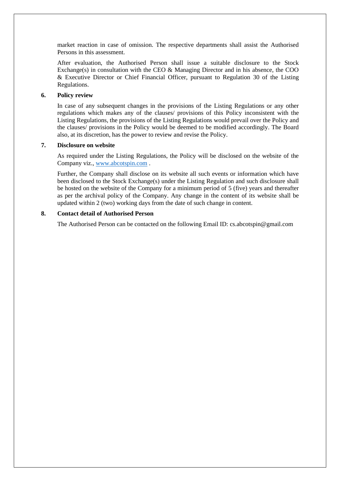market reaction in case of omission. The respective departments shall assist the Authorised Persons in this assessment.

After evaluation, the Authorised Person shall issue a suitable disclosure to the Stock Exchange(s) in consultation with the CEO & Managing Director and in his absence, the COO & Executive Director or Chief Financial Officer, pursuant to Regulation 30 of the Listing Regulations.

### **6. Policy review**

In case of any subsequent changes in the provisions of the Listing Regulations or any other regulations which makes any of the clauses/ provisions of this Policy inconsistent with the Listing Regulations, the provisions of the Listing Regulations would prevail over the Policy and the clauses/ provisions in the Policy would be deemed to be modified accordingly. The Board also, at its discretion, has the power to review and revise the Policy.

#### **7. Disclosure on website**

As required under the Listing Regulations, the Policy will be disclosed on the website of the Company viz., [www.abcotspin.com](http://www.abcotspin.com/) .

Further, the Company shall disclose on its website all such events or information which have been disclosed to the Stock Exchange(s) under the Listing Regulation and such disclosure shall be hosted on the website of the Company for a minimum period of 5 (five) years and thereafter as per the archival policy of the Company. Any change in the content of its website shall be updated within 2 (two) working days from the date of such change in content.

### **8. Contact detail of Authorised Person**

The Authorised Person can be contacted on the following Email ID: cs.abcotspin@gmail.com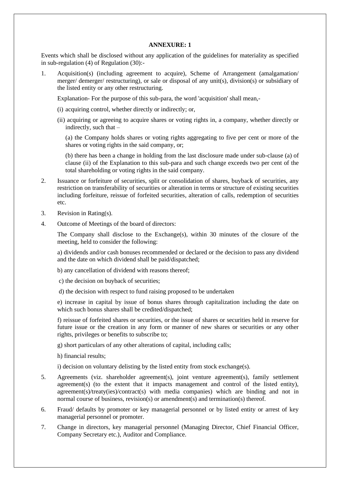#### **ANNEXURE: 1**

Events which shall be disclosed without any application of the guidelines for materiality as specified in sub-regulation (4) of Regulation (30):-

1. Acquisition(s) (including agreement to acquire), Scheme of Arrangement (amalgamation/ merger/ demerger/ restructuring), or sale or disposal of any unit(s), division(s) or subsidiary of the listed entity or any other restructuring.

Explanation- For the purpose of this sub-para, the word 'acquisition' shall mean,-

- (i) acquiring control, whether directly or indirectly; or,
- (ii) acquiring or agreeing to acquire shares or voting rights in, a company, whether directly or indirectly, such that –

(a) the Company holds shares or voting rights aggregating to five per cent or more of the shares or voting rights in the said company, or;

(b) there has been a change in holding from the last disclosure made under sub-clause (a) of clause (ii) of the Explanation to this sub-para and such change exceeds two per cent of the total shareholding or voting rights in the said company.

- 2. Issuance or forfeiture of securities, split or consolidation of shares, buyback of securities, any restriction on transferability of securities or alteration in terms or structure of existing securities including forfeiture, reissue of forfeited securities, alteration of calls, redemption of securities etc.
- 3. Revision in Rating(s).
- 4. Outcome of Meetings of the board of directors:

The Company shall disclose to the Exchange(s), within 30 minutes of the closure of the meeting, held to consider the following:

a) dividends and/or cash bonuses recommended or declared or the decision to pass any dividend and the date on which dividend shall be paid/dispatched;

- b) any cancellation of dividend with reasons thereof;
- c) the decision on buyback of securities;
- d) the decision with respect to fund raising proposed to be undertaken

e) increase in capital by issue of bonus shares through capitalization including the date on which such bonus shares shall be credited/dispatched;

f) reissue of forfeited shares or securities, or the issue of shares or securities held in reserve for future issue or the creation in any form or manner of new shares or securities or any other rights, privileges or benefits to subscribe to;

g) short particulars of any other alterations of capital, including calls;

h) financial results;

i) decision on voluntary delisting by the listed entity from stock exchange(s).

- 5. Agreements (viz. shareholder agreement(s), joint venture agreement(s), family settlement agreement(s) (to the extent that it impacts management and control of the listed entity), agreement(s)/treaty(ies)/contract(s) with media companies) which are binding and not in normal course of business, revision(s) or amendment(s) and termination(s) thereof.
- 6. Fraud/ defaults by promoter or key managerial personnel or by listed entity or arrest of key managerial personnel or promoter.
- 7. Change in directors, key managerial personnel (Managing Director, Chief Financial Officer, Company Secretary etc.), Auditor and Compliance.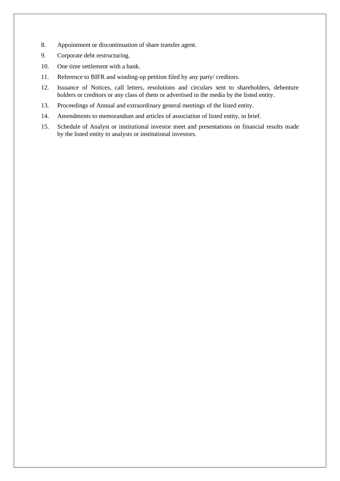- 8. Appointment or discontinuation of share transfer agent.
- 9. Corporate debt restructuring.
- 10. One time settlement with a bank.
- 11. Reference to BIFR and winding-up petition filed by any party/ creditors.
- 12. Issuance of Notices, call letters, resolutions and circulars sent to shareholders, debenture holders or creditors or any class of them or advertised in the media by the listed entity.
- 13. Proceedings of Annual and extraordinary general meetings of the listed entity.
- 14. Amendments to memorandum and articles of association of listed entity, in brief.
- 15. Schedule of Analyst or institutional investor meet and presentations on financial results made by the listed entity to analysts or institutional investors.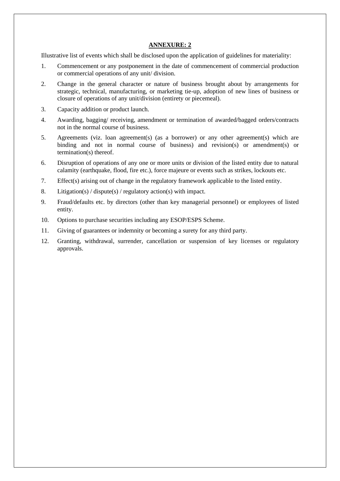## **ANNEXURE: 2**

Illustrative list of events which shall be disclosed upon the application of guidelines for materiality:

- 1. Commencement or any postponement in the date of commencement of commercial production or commercial operations of any unit/ division.
- 2. Change in the general character or nature of business brought about by arrangements for strategic, technical, manufacturing, or marketing tie-up, adoption of new lines of business or closure of operations of any unit/division (entirety or piecemeal).
- 3. Capacity addition or product launch.
- 4. Awarding, bagging/ receiving, amendment or termination of awarded/bagged orders/contracts not in the normal course of business.
- 5. Agreements (viz. loan agreement(s) (as a borrower) or any other agreement(s) which are binding and not in normal course of business) and revision(s) or amendment(s) or termination(s) thereof.
- 6. Disruption of operations of any one or more units or division of the listed entity due to natural calamity (earthquake, flood, fire etc.), force majeure or events such as strikes, lockouts etc.
- 7. Effect(s) arising out of change in the regulatory framework applicable to the listed entity.
- 8. Litigation(s) / dispute(s) / regulatory action(s) with impact.
- 9. Fraud/defaults etc. by directors (other than key managerial personnel) or employees of listed entity.
- 10. Options to purchase securities including any ESOP/ESPS Scheme.
- 11. Giving of guarantees or indemnity or becoming a surety for any third party.
- 12. Granting, withdrawal, surrender, cancellation or suspension of key licenses or regulatory approvals.